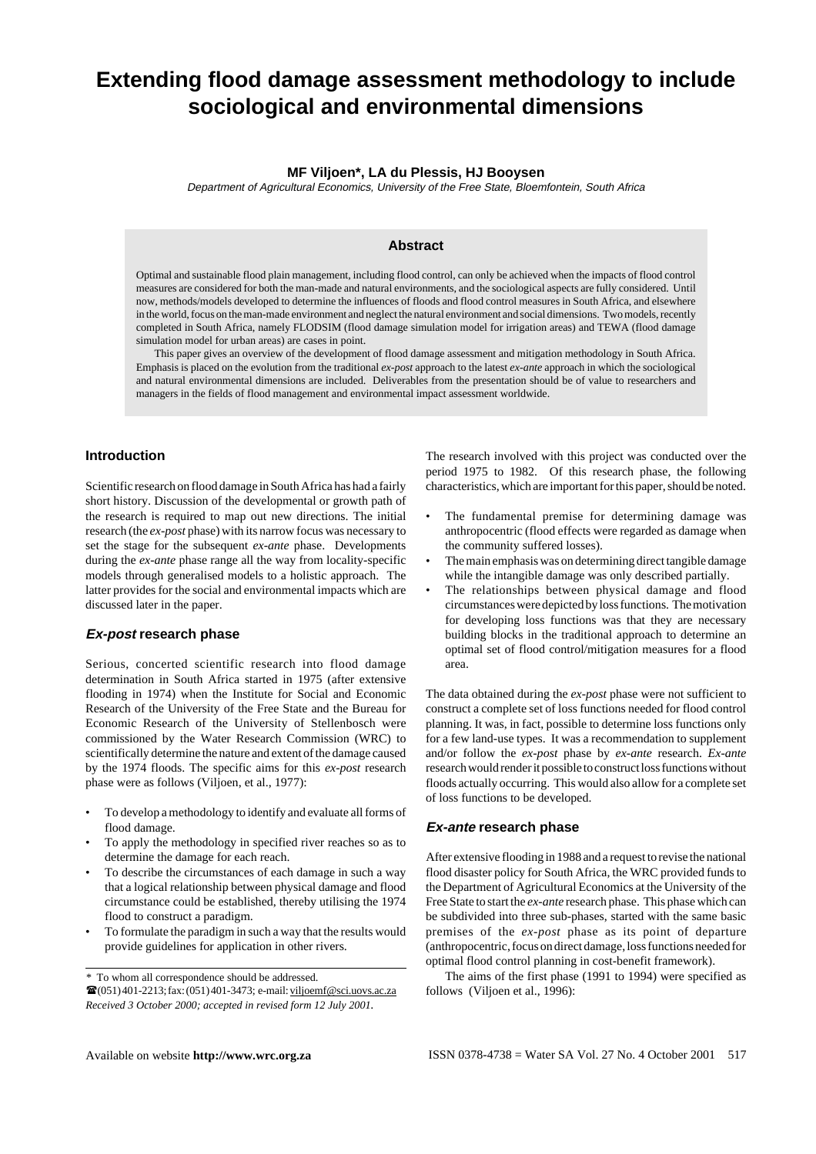# **Extending flood damage assessment methodology to include sociological and environmental dimensions**

#### **MF Viljoen\*, LA du Plessis, HJ Booysen**

Department of Agricultural Economics, University of the Free State, Bloemfontein, South Africa

#### **Abstract**

Optimal and sustainable flood plain management, including flood control, can only be achieved when the impacts of flood control measures are considered for both the man-made and natural environments, and the sociological aspects are fully considered. Until now, methods/models developed to determine the influences of floods and flood control measures in South Africa, and elsewhere in the world, focus on the man-made environment and neglect the natural environment and social dimensions. Two models, recently completed in South Africa, namely FLODSIM (flood damage simulation model for irrigation areas) and TEWA (flood damage simulation model for urban areas) are cases in point.

 This paper gives an overview of the development of flood damage assessment and mitigation methodology in South Africa. Emphasis is placed on the evolution from the traditional *ex-post* approach to the latest *ex-ante* approach in which the sociological and natural environmental dimensions are included. Deliverables from the presentation should be of value to researchers and managers in the fields of flood management and environmental impact assessment worldwide.

# **Introduction**

Scientific research on flood damage in South Africa has had a fairly short history. Discussion of the developmental or growth path of the research is required to map out new directions. The initial research (the *ex-post* phase) with its narrow focus was necessary to set the stage for the subsequent *ex-ante* phase. Developments during the *ex-ante* phase range all the way from locality-specific models through generalised models to a holistic approach. The latter provides for the social and environmental impacts which are discussed later in the paper.

## **Ex-post research phase**

Serious, concerted scientific research into flood damage determination in South Africa started in 1975 (after extensive flooding in 1974) when the Institute for Social and Economic Research of the University of the Free State and the Bureau for Economic Research of the University of Stellenbosch were commissioned by the Water Research Commission (WRC) to scientifically determine the nature and extent of the damage caused by the 1974 floods. The specific aims for this *ex-post* research phase were as follows (Viljoen, et al., 1977):

- To develop a methodology to identify and evaluate all forms of flood damage.
- To apply the methodology in specified river reaches so as to determine the damage for each reach.
- To describe the circumstances of each damage in such a way that a logical relationship between physical damage and flood circumstance could be established, thereby utilising the 1974 flood to construct a paradigm.
- To formulate the paradigm in such a way that the results would provide guidelines for application in other rivers.

The research involved with this project was conducted over the period 1975 to 1982. Of this research phase, the following characteristics, which are important for this paper, should be noted.

- The fundamental premise for determining damage was anthropocentric (flood effects were regarded as damage when the community suffered losses).
- The main emphasis was on determining direct tangible damage while the intangible damage was only described partially.
- The relationships between physical damage and flood circumstances were depicted by loss functions. The motivation for developing loss functions was that they are necessary building blocks in the traditional approach to determine an optimal set of flood control/mitigation measures for a flood area.

The data obtained during the *ex-post* phase were not sufficient to construct a complete set of loss functions needed for flood control planning. It was, in fact, possible to determine loss functions only for a few land-use types. It was a recommendation to supplement and/or follow the *ex-post* phase by *ex-ante* research. *Ex-ante* research would render it possible to construct loss functions without floods actually occurring. This would also allow for a complete set of loss functions to be developed.

#### **Ex-ante research phase**

After extensive flooding in 1988 and a request to revise the national flood disaster policy for South Africa, the WRC provided funds to the Department of Agricultural Economics at the University of the Free State to start the *ex-ante* research phase. This phase which can be subdivided into three sub-phases, started with the same basic premises of the *ex-post* phase as its point of departure (anthropocentric, focus on direct damage, loss functions needed for optimal flood control planning in cost-benefit framework).

The aims of the first phase (1991 to 1994) were specified as follows (Viljoen et al., 1996):

*<sup>\*</sup>* To whom all correspondence should be addressed.

 $\mathbf{B}(051)$  401-2213; fax: (051) 401-3473; e-mail: viljoemf@sci.uovs.ac.za *Received 3 October 2000; accepted in revised form 12 July 2001*.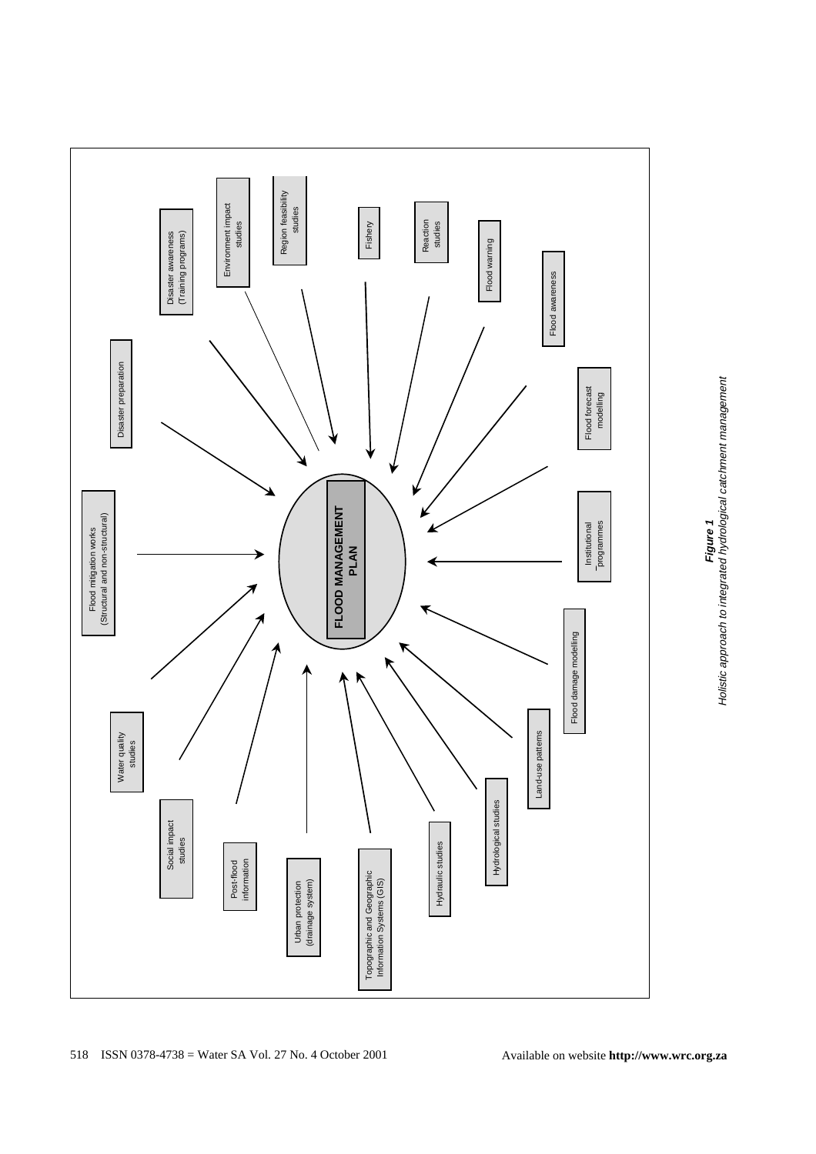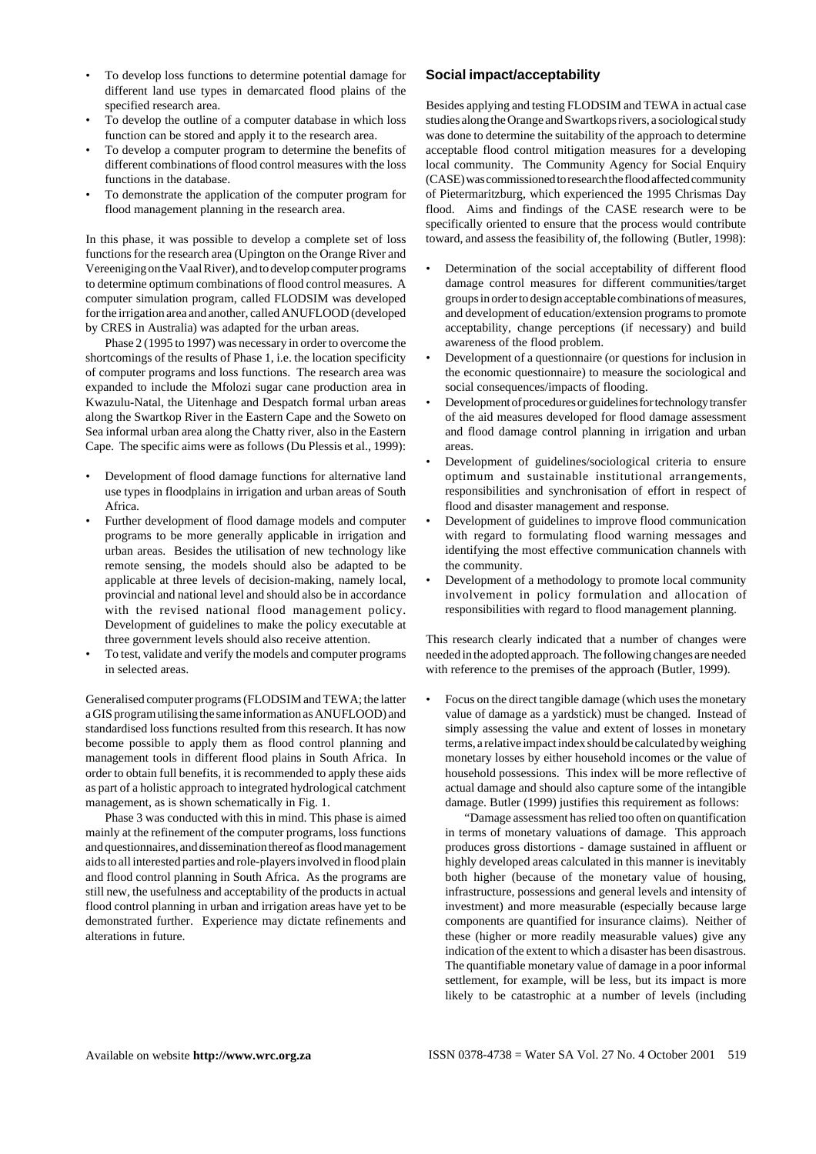- To develop loss functions to determine potential damage for different land use types in demarcated flood plains of the specified research area.
- To develop the outline of a computer database in which loss function can be stored and apply it to the research area.
- To develop a computer program to determine the benefits of different combinations of flood control measures with the loss functions in the database.
- To demonstrate the application of the computer program for flood management planning in the research area.

In this phase, it was possible to develop a complete set of loss functions for the research area (Upington on the Orange River and Vereeniging on the Vaal River), and to develop computer programs to determine optimum combinations of flood control measures. A computer simulation program, called FLODSIM was developed for the irrigation area and another, called ANUFLOOD (developed by CRES in Australia) was adapted for the urban areas.

Phase 2 (1995 to 1997) was necessary in order to overcome the shortcomings of the results of Phase 1, i.e. the location specificity of computer programs and loss functions. The research area was expanded to include the Mfolozi sugar cane production area in Kwazulu-Natal, the Uitenhage and Despatch formal urban areas along the Swartkop River in the Eastern Cape and the Soweto on Sea informal urban area along the Chatty river, also in the Eastern Cape. The specific aims were as follows (Du Plessis et al., 1999):

- Development of flood damage functions for alternative land use types in floodplains in irrigation and urban areas of South Africa.
- Further development of flood damage models and computer programs to be more generally applicable in irrigation and urban areas. Besides the utilisation of new technology like remote sensing, the models should also be adapted to be applicable at three levels of decision-making, namely local, provincial and national level and should also be in accordance with the revised national flood management policy. Development of guidelines to make the policy executable at three government levels should also receive attention.
- To test, validate and verify the models and computer programs in selected areas.

Generalised computer programs (FLODSIM and TEWA; the latter a GIS program utilising the same information as ANUFLOOD) and standardised loss functions resulted from this research. It has now become possible to apply them as flood control planning and management tools in different flood plains in South Africa. In order to obtain full benefits, it is recommended to apply these aids as part of a holistic approach to integrated hydrological catchment management, as is shown schematically in Fig. 1.

Phase 3 was conducted with this in mind. This phase is aimed mainly at the refinement of the computer programs, loss functions and questionnaires, and dissemination thereof as flood management aids to all interested parties and role-players involved in flood plain and flood control planning in South Africa. As the programs are still new, the usefulness and acceptability of the products in actual flood control planning in urban and irrigation areas have yet to be demonstrated further. Experience may dictate refinements and alterations in future.

## **Social impact/acceptability**

Besides applying and testing FLODSIM and TEWA in actual case studies along the Orange and Swartkops rivers, a sociological study was done to determine the suitability of the approach to determine acceptable flood control mitigation measures for a developing local community. The Community Agency for Social Enquiry (CASE) was commissioned to research the flood affected community of Pietermaritzburg, which experienced the 1995 Chrismas Day flood. Aims and findings of the CASE research were to be specifically oriented to ensure that the process would contribute toward, and assess the feasibility of, the following (Butler, 1998):

- Determination of the social acceptability of different flood damage control measures for different communities/target groups in order to design acceptable combinations of measures, and development of education/extension programs to promote acceptability, change perceptions (if necessary) and build awareness of the flood problem.
- Development of a questionnaire (or questions for inclusion in the economic questionnaire) to measure the sociological and social consequences/impacts of flooding.
- Development of procedures or guidelines for technology transfer of the aid measures developed for flood damage assessment and flood damage control planning in irrigation and urban areas.
- Development of guidelines/sociological criteria to ensure optimum and sustainable institutional arrangements, responsibilities and synchronisation of effort in respect of flood and disaster management and response.
- Development of guidelines to improve flood communication with regard to formulating flood warning messages and identifying the most effective communication channels with the community.
- Development of a methodology to promote local community involvement in policy formulation and allocation of responsibilities with regard to flood management planning.

This research clearly indicated that a number of changes were needed in the adopted approach. The following changes are needed with reference to the premises of the approach (Butler, 1999).

• Focus on the direct tangible damage (which uses the monetary value of damage as a yardstick) must be changed. Instead of simply assessing the value and extent of losses in monetary terms, a relative impact index should be calculated by weighing monetary losses by either household incomes or the value of household possessions. This index will be more reflective of actual damage and should also capture some of the intangible damage. Butler (1999) justifies this requirement as follows:

"Damage assessment has relied too often on quantification in terms of monetary valuations of damage. This approach produces gross distortions - damage sustained in affluent or highly developed areas calculated in this manner is inevitably both higher (because of the monetary value of housing, infrastructure, possessions and general levels and intensity of investment) and more measurable (especially because large components are quantified for insurance claims). Neither of these (higher or more readily measurable values) give any indication of the extent to which a disaster has been disastrous. The quantifiable monetary value of damage in a poor informal settlement, for example, will be less, but its impact is more likely to be catastrophic at a number of levels (including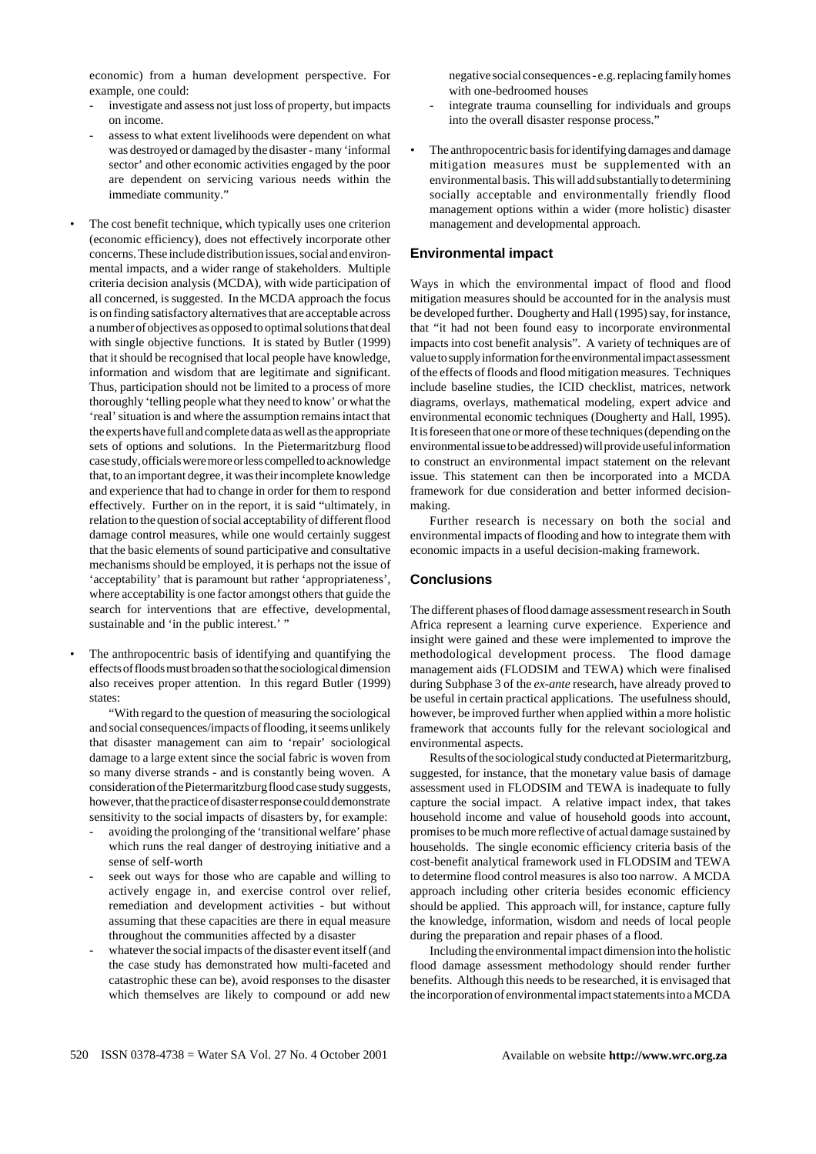economic) from a human development perspective. For example, one could:

- investigate and assess not just loss of property, but impacts on income.
- assess to what extent livelihoods were dependent on what was destroyed or damaged by the disaster - many 'informal sector' and other economic activities engaged by the poor are dependent on servicing various needs within the immediate community."
- The cost benefit technique, which typically uses one criterion (economic efficiency), does not effectively incorporate other concerns. These include distribution issues, social and environmental impacts, and a wider range of stakeholders. Multiple criteria decision analysis (MCDA), with wide participation of all concerned, is suggested. In the MCDA approach the focus is on finding satisfactory alternatives that are acceptable across a number of objectives as opposed to optimal solutions that deal with single objective functions. It is stated by Butler (1999) that it should be recognised that local people have knowledge, information and wisdom that are legitimate and significant. Thus, participation should not be limited to a process of more thoroughly 'telling people what they need to know' or what the 'real' situation is and where the assumption remains intact that the experts have full and complete data as well as the appropriate sets of options and solutions. In the Pietermaritzburg flood case study, officials were more or less compelled to acknowledge that, to an important degree, it was their incomplete knowledge and experience that had to change in order for them to respond effectively. Further on in the report, it is said "ultimately, in relation to the question of social acceptability of different flood damage control measures, while one would certainly suggest that the basic elements of sound participative and consultative mechanisms should be employed, it is perhaps not the issue of 'acceptability' that is paramount but rather 'appropriateness', where acceptability is one factor amongst others that guide the search for interventions that are effective, developmental, sustainable and 'in the public interest.' "
- The anthropocentric basis of identifying and quantifying the effects of floods must broaden so that the sociological dimension also receives proper attention. In this regard Butler (1999) states:

"With regard to the question of measuring the sociological and social consequences/impacts of flooding, it seems unlikely that disaster management can aim to 'repair' sociological damage to a large extent since the social fabric is woven from so many diverse strands - and is constantly being woven. A consideration of the Pietermaritzburg flood case study suggests, however, that the practice of disaster response could demonstrate sensitivity to the social impacts of disasters by, for example:

- avoiding the prolonging of the 'transitional welfare' phase which runs the real danger of destroying initiative and a sense of self-worth
- seek out ways for those who are capable and willing to actively engage in, and exercise control over relief, remediation and development activities - but without assuming that these capacities are there in equal measure throughout the communities affected by a disaster
- whatever the social impacts of the disaster event itself (and the case study has demonstrated how multi-faceted and catastrophic these can be), avoid responses to the disaster which themselves are likely to compound or add new

negative social consequences - e.g. replacing family homes with one-bedroomed houses

- integrate trauma counselling for individuals and groups into the overall disaster response process."
- The anthropocentric basis for identifying damages and damage mitigation measures must be supplemented with an environmental basis. This will add substantially to determining socially acceptable and environmentally friendly flood management options within a wider (more holistic) disaster management and developmental approach.

## **Environmental impact**

Ways in which the environmental impact of flood and flood mitigation measures should be accounted for in the analysis must be developed further. Dougherty and Hall (1995) say, for instance, that "it had not been found easy to incorporate environmental impacts into cost benefit analysis". A variety of techniques are of value to supply information for the environmental impact assessment of the effects of floods and flood mitigation measures. Techniques include baseline studies, the ICID checklist, matrices, network diagrams, overlays, mathematical modeling, expert advice and environmental economic techniques (Dougherty and Hall, 1995). It is foreseen that one or more of these techniques (depending on the environmental issue to be addressed) will provide useful information to construct an environmental impact statement on the relevant issue. This statement can then be incorporated into a MCDA framework for due consideration and better informed decisionmaking.

Further research is necessary on both the social and environmental impacts of flooding and how to integrate them with economic impacts in a useful decision-making framework.

#### **Conclusions**

The different phases of flood damage assessment research in South Africa represent a learning curve experience. Experience and insight were gained and these were implemented to improve the methodological development process. The flood damage management aids (FLODSIM and TEWA) which were finalised during Subphase 3 of the *ex-ante* research, have already proved to be useful in certain practical applications. The usefulness should, however, be improved further when applied within a more holistic framework that accounts fully for the relevant sociological and environmental aspects.

Results of the sociological study conducted at Pietermaritzburg, suggested, for instance, that the monetary value basis of damage assessment used in FLODSIM and TEWA is inadequate to fully capture the social impact. A relative impact index, that takes household income and value of household goods into account, promises to be much more reflective of actual damage sustained by households. The single economic efficiency criteria basis of the cost-benefit analytical framework used in FLODSIM and TEWA to determine flood control measures is also too narrow. A MCDA approach including other criteria besides economic efficiency should be applied. This approach will, for instance, capture fully the knowledge, information, wisdom and needs of local people during the preparation and repair phases of a flood.

Including the environmental impact dimension into the holistic flood damage assessment methodology should render further benefits. Although this needs to be researched, it is envisaged that the incorporation of environmental impact statements into a MCDA